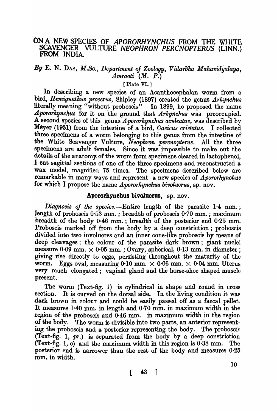# ON A NEW SPECIES OF APORORHYNCHUS FROM THE WHITE SCAVENGER VULTURE *NEOPHRON 'PERCNOPTERUS* (LINN.) FROM INDIA.

## *By* E. N. DAS, *M.So., Department of Zoology, VidaTbha Mahavidyalaya, AmTaoti* (M. P.)

#### [Plate VI.]

In describing a new species of an Acanthocephalan worm from a bird, *Hemignathus procerus*, Shipley (1897) created the genus *Arhynchus* literally meaning "without proboscis" In 1899, he proposed the name *A.pororkynckus* for it on the ground that *Arhynchu8* was preoccupied. A second species of this genus *Apororhynchus aculeatus,* was described by Meyer (1931) from the intestine of a bird, *Casicus cristatus*. I collected three specimens of a worm belonging to this genus from the intestine of the White Scavenger Vulture, *Neophron percnopterus.* All the three specimens are adult females. Since it was impossible to make out the details of the anatomy of the worm from specimens cleared in lactophenol, I cut sagittal sections of one of the three specimens and reconstructed a wax model, magnified 75 times. The specimens described below are remarkable in many ways and represent a new species of *Apororhynchus*  for which I propose the name *Apororhynchus bivolucrus*, sp. nov.

### Apororhynchus bivolucrus, sp. nov.

*Diagnosis of the species.*—Entire length of the parasite 1.4 mm.; length of proboscis  $0.53$  mm.; breadth of proboscis  $0.70$  mm.; maximum breadth of the body 0.46 mm.; breadth of the posterior end 0.25 mm. Proboscis marked off from the body by a deep constriction; proboscis divided into two involucres and an inner cone-like proboscis by means of deep cleavages; the colour of the parasite dark brown; giant nuclei measure 0.09 mm.  $\times$  0.05 mm.; Ovary, spherical, 0.13 mm. in diameter; giving rise directly to eggs, persisting' throughout the maturity' of the worm. Eggs oval, measuring 0.10 mm.  $\times$  0.06 mm.  $\times$  0.04 mm. Uterus very much elongated; vaginal gland and the horse-shoe shaped muscle present.

The worm (Text-fig. 1) is cylindrical in shape and round in cross section. It is curved on the dorsal side. In the living condition it was dark brown in colour and could be easily passed off as a faecal pellet. It measures  $1.40$  mm. in length and  $0.70$  mm. in maximum width in the region of the proboscis and 0·46 mm. in maximum width in the region of the body. The worm is divisible into two parts, an anterior representing the proboscis and a posterior representing the body. The proboscis (Text-fig. 1,  $pr.$ ) is separated from the body by a deep constriction (Text-fig. 1,  $c$ ) and the maximum width in this region is  $0.38$  mm. The posterior end is narrower than the rest of the body and measures  $0.25$ mm. in width.

$$
\begin{bmatrix} 43 \end{bmatrix}
$$

10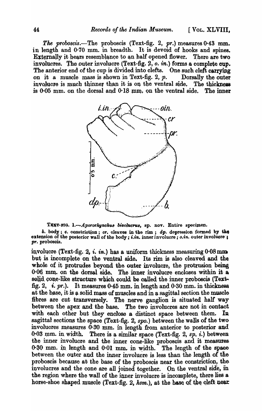The proboscis.—The proboscis (Text-fig. 2,  $pr$ .) measures 0.43 mm. in length and 0.70 mm. in breadth. It is devoid of hooks and spines. Externally it bears resemblance to an half opened flower. There are two involucres. The outer involucre (Text-fig.  $2, o.$  in.) forms a complete cup. The anterior end of the cup is divided into clefts. One such cleft carrying on it a muscle mass is shown in Text-fig. 2,  $p$ . Dorsally the outer involucre is much thinner than it is on the ventral side. The thickness is 0.05 mm. on the dorsal and 0.18 mm, on the ventral side. The inner



TEXT-FIG. 1. $-A$  pororhynchus bivolucrus, sp. nov. Entire specimen.

 $b.$  body;  $c.$  constriction;  $cr.$  cleaves in the rim;  $dp.$  depression formed by the extension of the posterior wall of the body; i.in. inner involucre; c.in. outer involuere; pr. proboscis.

involucre (Text-fig. 2, *i. in.*) has a uniform thickness measuring  $0.08 \,\mathrm{mm}$ . but is incomplete on the ventral side. Its rim is also cleaved and the whole of it protrudes beyond the outer involucre, the protrusion being 0.06 mm, on the dorsal side. The inner involucre encloses within it a solid cone-like structure which could be called the inner proboscis (Textfig. 2, i. pr.). It measures 0.45 mm. in length and 0.30 mm. in thickness at the base, it is a solid mass of muscles and in a sagittal section the muscle fibres are cut transversely. The nerve ganglion is situated half way between the apex and the base. The two involucres are not in contact with each other but they enclose a distinct space between them. In sagittal sections the space (Text-fig. 2, spo.) between the walls of the two involucres measures 0.30 mm. in length from anterior to posterior and 0.03 mm. in width. There is a similar space (Text-fig. 2,  $sp. i$ .) between the inner involucre and the inner cone-like proboscis and it measures 0.30 mm. in length and 0.01 mm. in width. The length of the space between the outer and the inner involucre is less than the length of the proboscis because at the base of the proboscis near the constriction, the involucres and the cone are all joined together. On the ventral side, in the region where the wall of the inner involucre is incomplete, there lies a horse-shoe shaped muscle (Text-fig. 2, hsm.), at the base of the cleft near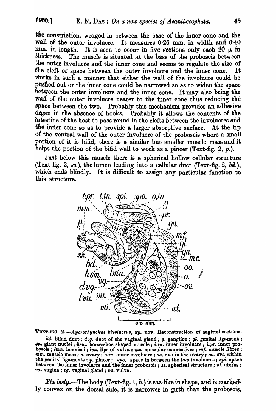the constriction, wedged in between the base of the inner cone and the wall of the outer involucre. It measures 0.26 mm. in width and 0.40 mm. in length. It is seen to occur in five sections only each 20  $\mu$  in thickness. The muscle is situated at the base of the proboscis between the outer involucre and the inner cone and seems to regulate the size *ot*  the cleft or space between the outer involucre and the inner cone. works in such a manner that either the wall of the involucre could be pushed out or the inner cone could be narrowed so as to widen the space  $b$  between the outer involucre and the inner cone. It may also bring the wall of the outer involucre nearer to the inner cone thus reducing the space between the two. Probably this mechanism provides an adhesive otgan in the absence of hooks. Probably it allows the contents of the intestine of the host to pass round in the clefts between the involucres and the inner cone so as to provide a larger absorptive surface. At the tip 6f the ventral wall of the outer involucre of the proboscis where a small portion of it is bifid, there is a similar but smaller muscle mass and it helps the portion of the bifid wall to work as a pincer (Text-fig. 2,  $p$ .).

Just below this muscle there is a spherical hollow cellular structure (Text-fig. 2, *ss.),* the lumen leading into a cellular duct (Text-fig. 2, *bd.),*  which ends blindly. It is difficult to assign any particular function to this structure.



TEXT-FIG. 2.-Apororhynchus bivolucrus, sp. nov. Reconstruction of sagittal sections.

*bd.* blind duct; *dvg.* duot of the vaginal gland; *g.* ganglion; *gl.* genital ligament ; gn. giant nuclei; *hsm.* horse-shoe shaped muscle; *i.in.* inner involucre; *i.pr.* inner proboscis; *lmn.* lemnisci; *lvu.* lips of vulva; *mc.* muscular connectives; *mf.* muscle fibres; *mm.* musole mass; *o.* ovary; *o.in.* outer involuore; *00.* ova in the ovary; *ov.* ova within the genit&lligaments ; *p.* pinoer; *8pO.* space in between the two involucres; *8pi.* space between the inner involucre and the inner probosois; 88. spherical structure; ut. uterus; va. vagina; vg. vaginal gland; *vu.* vulva.

*The body.*—The body (Text-fig. 1,  $b$ .) is sac-like in shape, and is marked-Iy convex on the dorsal side, it is narrower in girth than the proboscis.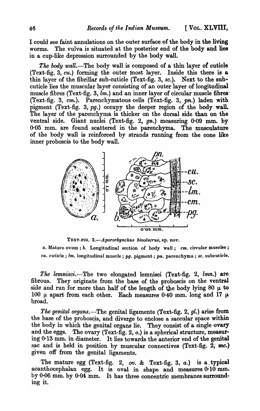I could see faint annulations on the outer surface of the body in the living worms. The vulva is situated at the posterior end of the body and lies in a cup-like depression surrounded by the body wall.

*The* body *wall.-The* body wall is composed of a thin layer of cuticie (Text-fig. 3,  $cu$ .) forming the outer most layer. Inside this there is a thin layer of the fibrillar sub-cuticle (Text-fig. 3, sc.). Next to the subcuticle lies the muscular layer consisting of an outer layer of longitudinal muscle fibres (Text-fig. 3, *lm.*) and an inner layer of circular muscle fibres (Text-fig. 3, cm.). Parenchymatous cells (Text-fig. 3, pn.) laden with pigment (Text-fig. 3, pg.) occupy the deeper region of the body wall. The layer of the parenchyma is thicker on the dorsal side than on the ventral side. Giant nuclei (Text-fig. 2,  $gn$ .) measuring 0.09 mm. by 0-05 mm. are found scattered in the parenchyma. The musculature of the body wall is reinforced by strands running from the cone like inner proboscis to the body wall.



TEXT-FIO. *3.-Apororkyncku8 bivolucru8,* sp. nov.

*a.* Mature ovum; *b.* Longitudinal section of body wall; *cm.* circular muscles; *cu.* cuticle; *1m.* longitudinal muscle; *pg.* pigment; pn. parenchyma; 8C. subcuticle.

*The lemnisci.-The* two elongated lemnisci (Text-fig. 2, *lmn.)* are fibrous. They originate from the base of the proboscis on the ventral side and run for more than half of the length of the body lying 80  $\mu$  to 100  $\mu$  apart from each other. Each measures 0.40 mm. long and 17  $\mu$ broad.

*The genital organs.-The* genital ligaments (Text-fig. 2, *gl.)* arise from the base of the proboscis, and diverge to enclose a saccular space within the body in which the genital organs lie. They consist of a single ovary and the eggs. The ovary (Text-fig. 2,  $o$ .) is a spherical structure, measuring  $0.13$  mm. in diameter. It lies towards the anterior end of the genital sac and is held in position by muscular connectives (Text-fig.  $2, mc$ .) given off from the genital ligaments.

The mature egg (Text-fig. 2,  $ov$ . & Text-fig. 3,  $a$ .) is a typical acanthocephalan egg. It is oval in shape and measures 0·10 mm. by 0·06 mm. by 0·04 mm. It has three concentric membranes surrounding it.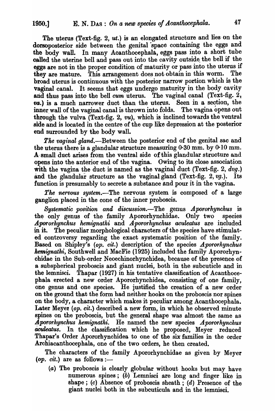The uterus (Text-fig. 2, ut.) is an elongated structure and lies on the dorsoposterior side between the genital space containing the eggs and the body wall. In many Acanthocephala, eggs pass into a short tube called the uterine bell and pass out into the cavity outside the bell if the eggs are not in the proper condition of maturity or pass into the uterus if they are mature. This arrangement does not obtain in this worm. The broad uterus is continuous with the posterior narrow portion which is the vaginal canal. It seems that eggs undergo maturity in the body cavity and thus pass into the bell cum uterus. The vaginal canal (Text-fig.  $2$ , va.) is a much narrower duct than the uterus. Seen in a section, the inner wall of the vaginal canal is thrown into folds. The vagina opens out through the vulva (Text-fig. 2,  $vu$ ), which is inclined towards the ventral side and is located in the centre of the cup like depression at the posterior end surrounded by the body wall.

The vaginal gland.-Between the posterior end of the genital sac and the uterus there is a glandular structure measuring 0·30 mm. by 0·10 mm. A· small duct arises from the ventral side of this glandular structure and opens into the anterior end of the vagina. Owing to its close association with the vagina the duct is named as the vaginal duct (Text-fig. 2, *dvg.*) and the glandular structure as the vaginal gland (Text-fig. 2, *vg.*). Its function is presumably to secrete a substance and pour it in the vagina.

*The nervous system.-The* nervous system is composed of a large ganglion placed in the cone of the inner proboscis.

**Systematic position and discussion.-The genus** *A pororhynchus* is the only genus of the family Apororhynchidae. Only two species Apororhynchus hemignathi and Apororhynchus aculeatus are included in it. The peculiar morphological characters of the species have stimulated controversy regarding the exact systematic position of the family. Based on Shipley's *(op. cit.)* description of the species *Apororhynchus kemignathi,* Southwell and MacFie (1925) included the family Apororhynchidae in the Sub-order Neoechinorhynchidea, because of the presence of a subspherical proboscis and giant nuclei, both in the subcuticle and in the lemnisci. Thapar (1927) in his tentative classification of Acanthocephala erected a new order Apororhynchidea, consisting of one family, one genus and one species. He justified the creation of a new order on the ground that the form had neither hooks on the proboscis nor spines on the body, a character which makes it peculiar among Acanthocephala. Later Meyer *(op. cit.)* described a new form, in which he observed minute spines on the proboscis, but the general shape was almost the same as *Apororhynchus hemignathi.* He named the new species *Apororhynchus aculeatus*. In the classification which he proposed, Meyer reduced Thapar's Order Apororhynchidea to one of the six families in the order Archiacanthocephala, one of the two orders, he then created.

The characters of the family Apororhynchidae as given by Meyer  $(op. cit.)$  are as follows:—

(a) The proboscis is clearly globular without hooks but may have numerous spines; (b) Lemnisci are long and finger like in shape; (c) Absence of proboscis sheath; (d) Presence of the giant nuclei both in the sub cuticula and in the lemnisci.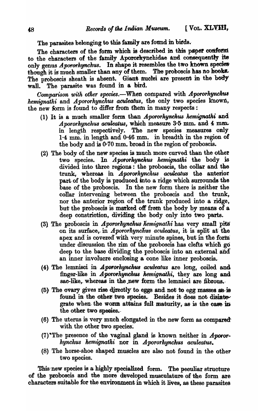The parasites belonging to this family are found in birds.

The characters of the form which is described in this paper conform to the characters of the family Apororhynchidae and consequently its only genus Apororhynchus. In shape it resembles the two known species though it is much smaller than any of them. The proboscis has no hooks. The proboscis sheath is absent. Giant muclei are present in the body The parasite was found in a bird. wall.

Comparison with other species.—When compared with Apororhynchus hemigrathi and Apororhynchus aculeatus, the only two species known, the new form is found to differ from them in many respects:

- (1) It is a much smaller form than Apororhynchus hemignathi and Apororhynchus aculeatus, which measure 3.5 mm. and 4 mm. in length respectively. The new species measures only  $1.4 \text{ mm}$ , in length and  $0.46 \text{ mm}$ , in breadth in the region of the body and is 0.70 mm, broad in the region of proboscis.
- (2) The body of the new species is much more curved than the other two species. In *Apororhynchus* hemignathi the body is divided into three regions: the proboscis, the collar and the trunk, whereas in *Apororhynchus* aculeatus the anterior part of the body is produced into a ridge which surrounds the base of the proboscis. In the new form there is neither the collar intervening between the proboscis and the trunk, nor the anterior region of the trunk produced into a ridge, but the proboscis is marked off from the body by means of a deep constriction, dividing the body only into two parts.
- (3) The proboscis in Apororhynchus hemignathi has very small pits on its surface, in *Apororhynchus aculeatus*, it is split at the apex and is covered with very minute spines, but in the form under discussion the rim of the proboscis has clefts which go deep to the base dividing the proboscis into an external and an inner involucre enclosing a cone like inner proboscis.
- (4) The lemnisci in *Apororhynchus acuteatus* are long, coiled and finger-like in *Apororhynchus* hemignathi, they are long and sac-like, whereas in the new form the lemnisci are fibrous.
- (5) The ovary gives rise directly to eggs and not to egg masses as is found in the other two species. Besides it does not disintegrate when the worm attains full maturity, as is the case in the other two species.
- (6) The uterus is very much elongated in the new form as compared with the other two species.
- (7) The presence of the vaginal gland is known neither in Apororhynchus hemignathi nor in Apororhynchus aculeatus.
- (8) The horse-shoe shaped muscles are also not found in the other two species.

This new species is a highly specialized form. The peculiar structure of the proboscis and the more developed musculature of the form are characters suitable for the environment in which it lives, as these parasites